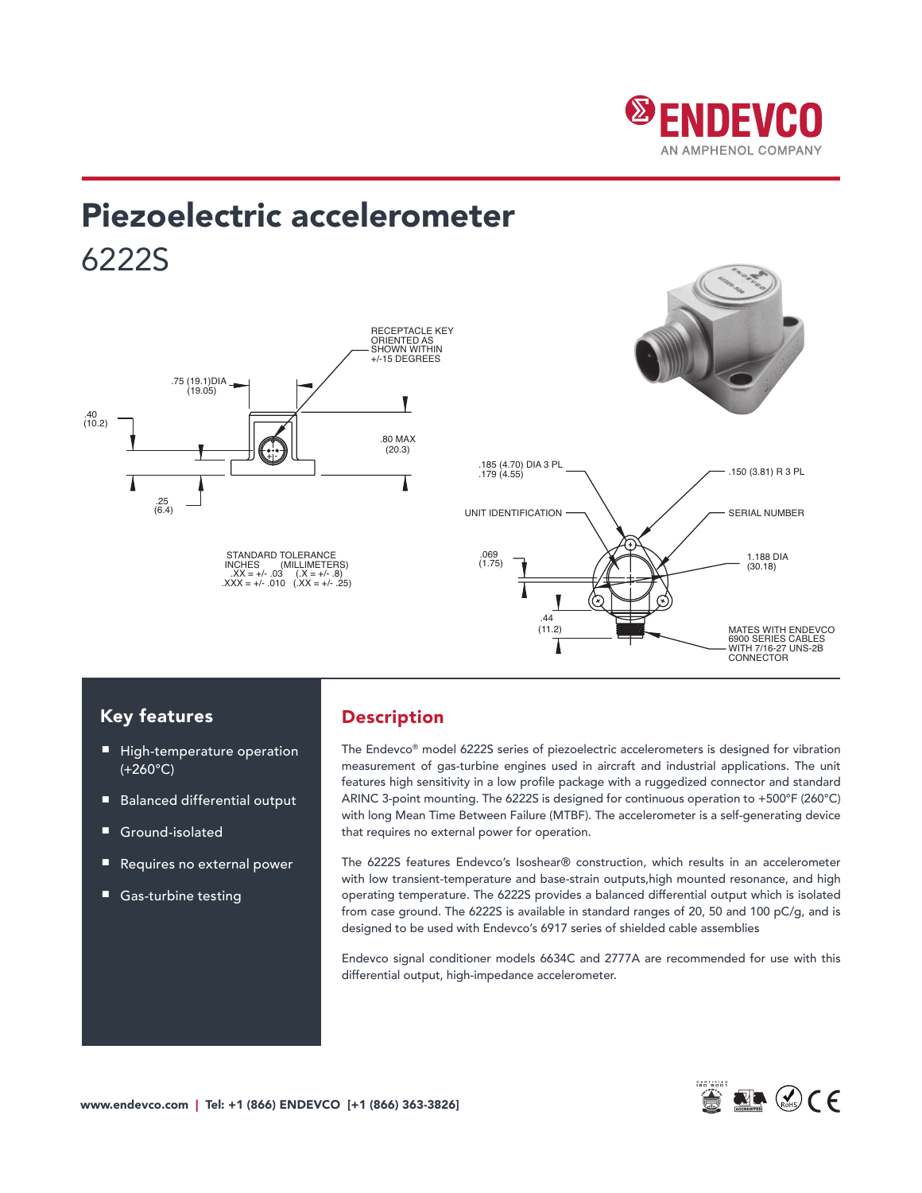

# Piezoelectric accelerometer 6222S 1.188 Dia 2.188 Dia 2.188 Dia 2.188 Dia



### Key features

- High-temperature operation (+260°C)
- Balanced differential output
- Ground-isolated
- Requires no external power
- Gas-turbine testing

### Description

The Endevco® model 6222S series of piezoelectric accelerometers is designed for vibration measurement of gas-turbine engines used in aircraft and industrial applications. The unit features high sensitivity in a low profile package with a ruggedized connector and standard ARINC 3-point mounting. The 6222S is designed for continuous operation to +500°F (260°C) with long Mean Time Between Failure (MTBF). The accelerometer is a self-generating device that requires no external power for operation.

The 6222S features Endevco's Isoshear® construction, which results in an accelerometer with low transient-temperature and base-strain outputs, high mounted resonance, and high operating temperature. The 6222S provides a balanced differential output which is isolated from case ground. The 6222S is available in standard ranges of 20, 50 and 100 pC/g, and is nom designed to be used with Endevco's 6917 series of shielded cable assemblies

Endevco signal conditioner models 6634C and 2777A are recommended for use with this differential output, high-impedance accelerometer.

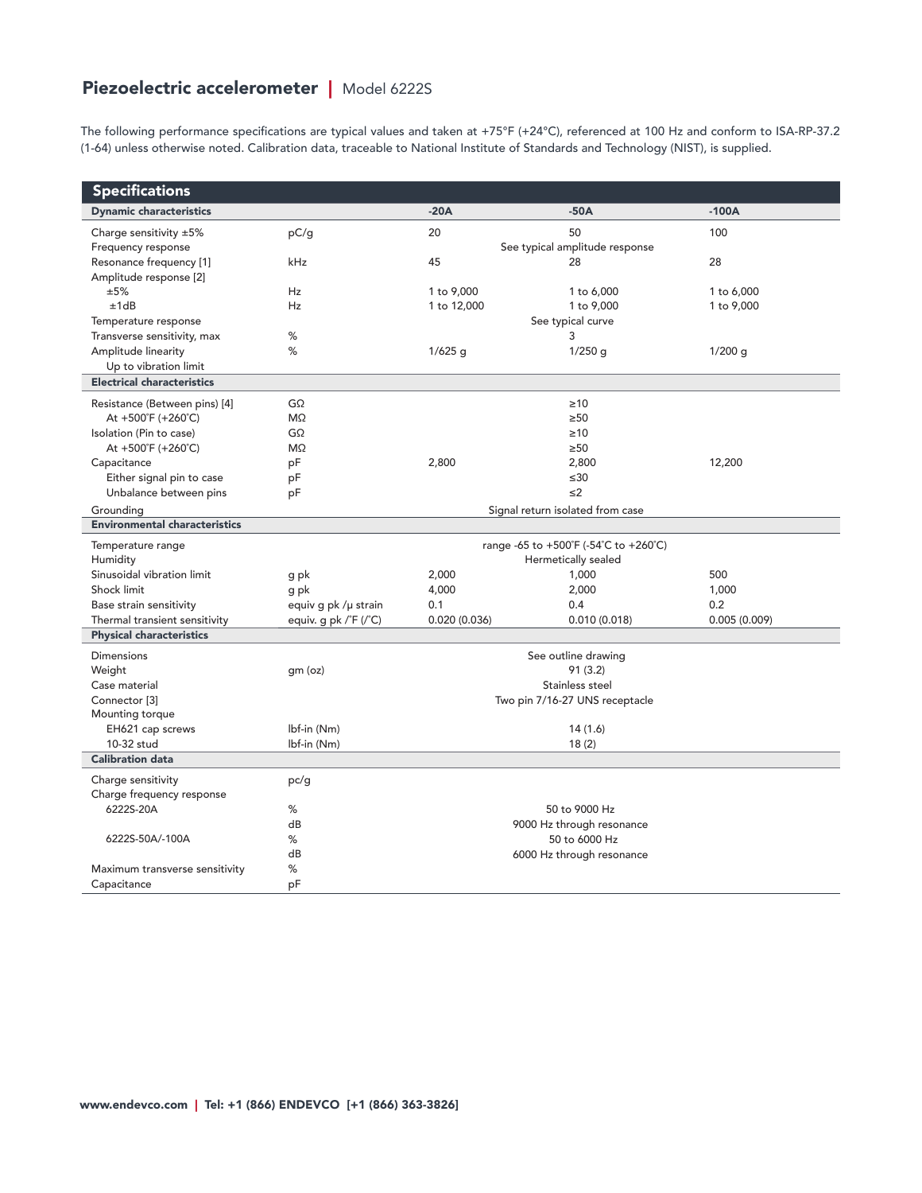## Piezoelectric accelerometer | Model 6222S

The following performance specifications are typical values and taken at +75°F (+24°C), referenced at 100 Hz and conform to ISA-RP-37.2 (1-64) unless otherwise noted. Calibration data, traceable to National Institute of Standards and Technology (NIST), is supplied.

| <b>Specifications</b>                |                                       |                                |                           |              |  |
|--------------------------------------|---------------------------------------|--------------------------------|---------------------------|--------------|--|
| <b>Dynamic characteristics</b>       |                                       | $-20A$                         | $-50A$                    | $-100A$      |  |
| Charge sensitivity ±5%               | pC/g                                  | 20                             | 50                        | 100          |  |
| Frequency response                   |                                       | See typical amplitude response |                           |              |  |
| Resonance frequency [1]              | kHz                                   | 45                             | 28                        | 28           |  |
| Amplitude response [2]               |                                       |                                |                           |              |  |
| ±5%                                  | <b>Hz</b>                             | 1 to 9,000                     | 1 to 6,000                | 1 to 6,000   |  |
| ±1dB                                 | Hz                                    | 1 to 12,000                    | 1 to 9,000                | 1 to 9,000   |  |
| Temperature response                 |                                       | See typical curve              |                           |              |  |
| Transverse sensitivity, max          | %                                     |                                | 3                         |              |  |
| Amplitude linearity                  | %                                     | $1/625$ g                      | $1/250$ g                 | $1/200$ g    |  |
| Up to vibration limit                |                                       |                                |                           |              |  |
| <b>Electrical characteristics</b>    |                                       |                                |                           |              |  |
| Resistance (Between pins) [4]        | GΩ                                    |                                | $\geq 10$                 |              |  |
| At $+500^{\circ}F (+260^{\circ}C)$   | M <sub>2</sub>                        |                                | $\geq 50$                 |              |  |
| Isolation (Pin to case)              | $G\Omega$                             |                                | $\geq 10$                 |              |  |
| At $+500^{\circ}F (+260^{\circ}C)$   | ΜΩ                                    |                                | $\geq 50$                 |              |  |
| Capacitance                          | pF                                    | 2,800                          | 2,800                     | 12,200       |  |
| Either signal pin to case            | pF                                    |                                | $\leq 30$                 |              |  |
| Unbalance between pins               | pF                                    |                                | $\leq$ 2                  |              |  |
| Grounding                            | Signal return isolated from case      |                                |                           |              |  |
| <b>Environmental characteristics</b> |                                       |                                |                           |              |  |
| Temperature range                    | range -65 to +500°F (-54°C to +260°C) |                                |                           |              |  |
| Humidity                             |                                       | Hermetically sealed            |                           |              |  |
| Sinusoidal vibration limit           | g pk                                  | 2,000                          | 1,000                     | 500          |  |
| Shock limit                          | g pk                                  | 4,000                          | 2,000                     | 1,000        |  |
| Base strain sensitivity              | equiv g pk /µ strain                  | 0.1                            | 0.4                       | 0.2          |  |
| Thermal transient sensitivity        | equiv. g pk $\sqrt{F(T)}$             | 0.020(0.036)                   | 0.010(0.018)              | 0.005(0.009) |  |
| <b>Physical characteristics</b>      |                                       |                                |                           |              |  |
| <b>Dimensions</b>                    | See outline drawing                   |                                |                           |              |  |
| Weight                               | gm (oz)                               |                                | 91(3.2)                   |              |  |
| Case material                        | Stainless steel                       |                                |                           |              |  |
| Connector <sup>[3]</sup>             | Two pin 7/16-27 UNS receptacle        |                                |                           |              |  |
| Mounting torque                      |                                       |                                |                           |              |  |
| EH621 cap screws                     | lbf-in (Nm)                           |                                | 14(1.6)                   |              |  |
| 10-32 stud                           | lbf-in (Nm)                           |                                | 18(2)                     |              |  |
| <b>Calibration data</b>              |                                       |                                |                           |              |  |
| Charge sensitivity                   | pc/g                                  |                                |                           |              |  |
| Charge frequency response            |                                       |                                |                           |              |  |
| 6222S-20A                            | %                                     |                                | 50 to 9000 Hz             |              |  |
|                                      | dB                                    |                                | 9000 Hz through resonance |              |  |
| 6222S-50A/-100A                      | ℅                                     |                                | 50 to 6000 Hz             |              |  |
|                                      | dB                                    |                                | 6000 Hz through resonance |              |  |
| Maximum transverse sensitivity       | ℅                                     |                                |                           |              |  |
| Capacitance                          | рF                                    |                                |                           |              |  |